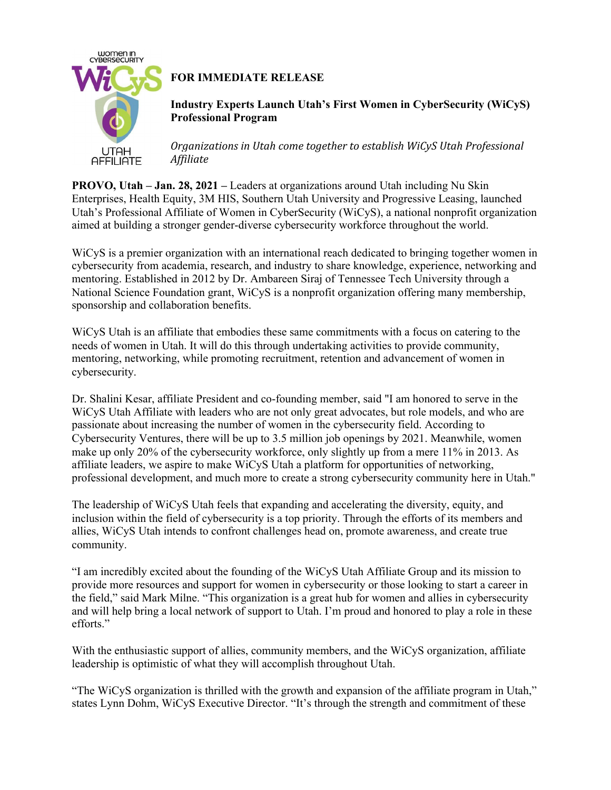

## **FOR IMMEDIATE RELEASE**

**Industry Experts Launch Utah's First Women in CyberSecurity (WiCyS) Professional Program**

*Organizations in Utah come together to establish WiCyS Utah Professional Af iliate*

**PROVO, Utah – Jan. 28, 2021 –** Leaders at organizations around Utah including Nu Skin Enterprises, Health Equity, 3M HIS, Southern Utah University and Progressive Leasing, launched Utah's Professional Affiliate of Women in CyberSecurity (WiCyS), a national nonprofit organization aimed at building a stronger gender-diverse cybersecurity workforce throughout the world.

WiCyS is a premier organization with an international reach dedicated to bringing together women in cybersecurity from academia, research, and industry to share knowledge, experience, networking and mentoring. Established in 2012 by Dr. Ambareen Siraj of Tennessee Tech University through a National Science Foundation grant, WiCyS is a nonprofit organization offering many membership, sponsorship and collaboration benefits.

WiCyS Utah is an affiliate that embodies these same commitments with a focus on catering to the needs of women in Utah. It will do this through undertaking activities to provide community, mentoring, networking, while promoting recruitment, retention and advancement of women in cybersecurity.

Dr. Shalini Kesar, affiliate President and co-founding member, said "I am honored to serve in the WiCyS Utah Affiliate with leaders who are not only great advocates, but role models, and who are passionate about increasing the number of women in the cybersecurity field. According to Cybersecurity Ventures, there will be up to 3.5 million job openings by 2021. Meanwhile, women make up only 20% of the cybersecurity workforce, only slightly up from a mere 11% in 2013. As affiliate leaders, we aspire to make WiCyS Utah a platform for opportunities of networking, professional development, and much more to create a strong cybersecurity community here in Utah."

The leadership of WiCyS Utah feels that expanding and accelerating the diversity, equity, and inclusion within the field of cybersecurity is a top priority. Through the efforts of its members and allies, WiCyS Utah intends to confront challenges head on, promote awareness, and create true community.

"I am incredibly excited about the founding of the WiCyS Utah Affiliate Group and its mission to provide more resources and support for women in cybersecurity or those looking to start a career in the field," said Mark Milne. "This organization is a great hub for women and allies in cybersecurity and will help bring a local network of support to Utah. I'm proud and honored to play a role in these efforts."

With the enthusiastic support of allies, community members, and the WiCyS organization, affiliate leadership is optimistic of what they will accomplish throughout Utah.

"The WiCyS organization is thrilled with the growth and expansion of the affiliate program in Utah," states Lynn Dohm, WiCyS Executive Director. "It's through the strength and commitment of these